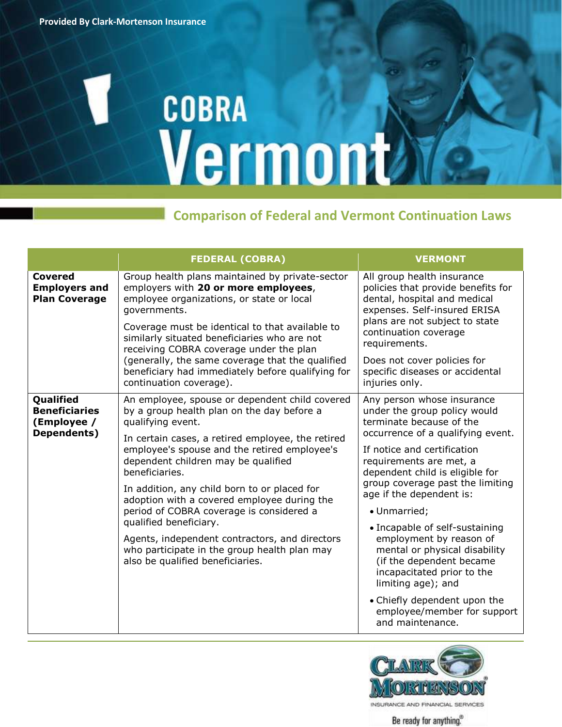## **COBRA** Vermont

## **Comparison of Federal and Vermont Continuation Laws**

|                                                                 | <b>FEDERAL (COBRA)</b>                                                                                                                                                                                                                                                                                                                                                                                                                                                                                                                                                                     | <b>VERMONT</b>                                                                                                                                                                                                                                                                                                                                                                                                                                                                                                                                                            |
|-----------------------------------------------------------------|--------------------------------------------------------------------------------------------------------------------------------------------------------------------------------------------------------------------------------------------------------------------------------------------------------------------------------------------------------------------------------------------------------------------------------------------------------------------------------------------------------------------------------------------------------------------------------------------|---------------------------------------------------------------------------------------------------------------------------------------------------------------------------------------------------------------------------------------------------------------------------------------------------------------------------------------------------------------------------------------------------------------------------------------------------------------------------------------------------------------------------------------------------------------------------|
| Covered<br><b>Employers and</b><br><b>Plan Coverage</b>         | Group health plans maintained by private-sector<br>employers with 20 or more employees,<br>employee organizations, or state or local<br>governments.<br>Coverage must be identical to that available to<br>similarly situated beneficiaries who are not<br>receiving COBRA coverage under the plan<br>(generally, the same coverage that the qualified<br>beneficiary had immediately before qualifying for<br>continuation coverage).                                                                                                                                                     | All group health insurance<br>policies that provide benefits for<br>dental, hospital and medical<br>expenses. Self-insured ERISA<br>plans are not subject to state<br>continuation coverage<br>requirements.<br>Does not cover policies for<br>specific diseases or accidental<br>injuries only.                                                                                                                                                                                                                                                                          |
| Qualified<br><b>Beneficiaries</b><br>(Employee /<br>Dependents) | An employee, spouse or dependent child covered<br>by a group health plan on the day before a<br>qualifying event.<br>In certain cases, a retired employee, the retired<br>employee's spouse and the retired employee's<br>dependent children may be qualified<br>beneficiaries.<br>In addition, any child born to or placed for<br>adoption with a covered employee during the<br>period of COBRA coverage is considered a<br>qualified beneficiary.<br>Agents, independent contractors, and directors<br>who participate in the group health plan may<br>also be qualified beneficiaries. | Any person whose insurance<br>under the group policy would<br>terminate because of the<br>occurrence of a qualifying event.<br>If notice and certification<br>requirements are met, a<br>dependent child is eligible for<br>group coverage past the limiting<br>age if the dependent is:<br>• Unmarried;<br>• Incapable of self-sustaining<br>employment by reason of<br>mental or physical disability<br>(if the dependent became<br>incapacitated prior to the<br>limiting age); and<br>• Chiefly dependent upon the<br>employee/member for support<br>and maintenance. |



Be ready for anything.<sup>®</sup>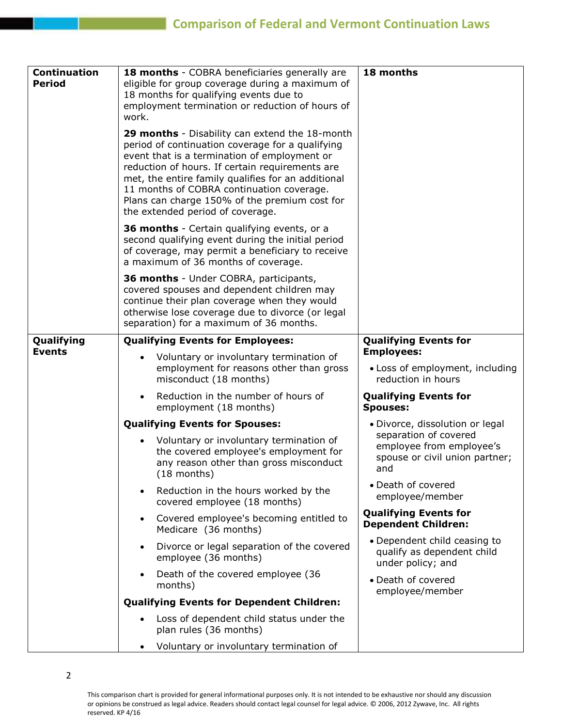| <b>Continuation</b> | 18 months - COBRA beneficiaries generally are                                                                                                                                                                                                                                                                                                                                                                                                                                                                                                                                                       | 18 months                                                                                  |
|---------------------|-----------------------------------------------------------------------------------------------------------------------------------------------------------------------------------------------------------------------------------------------------------------------------------------------------------------------------------------------------------------------------------------------------------------------------------------------------------------------------------------------------------------------------------------------------------------------------------------------------|--------------------------------------------------------------------------------------------|
| <b>Period</b>       | eligible for group coverage during a maximum of                                                                                                                                                                                                                                                                                                                                                                                                                                                                                                                                                     |                                                                                            |
|                     | 18 months for qualifying events due to<br>employment termination or reduction of hours of                                                                                                                                                                                                                                                                                                                                                                                                                                                                                                           |                                                                                            |
|                     | work.                                                                                                                                                                                                                                                                                                                                                                                                                                                                                                                                                                                               |                                                                                            |
|                     | <b>29 months</b> - Disability can extend the 18-month<br>period of continuation coverage for a qualifying<br>event that is a termination of employment or<br>reduction of hours. If certain requirements are<br>met, the entire family qualifies for an additional<br>11 months of COBRA continuation coverage.<br>Plans can charge 150% of the premium cost for<br>the extended period of coverage.<br>36 months - Certain qualifying events, or a<br>second qualifying event during the initial period<br>of coverage, may permit a beneficiary to receive<br>a maximum of 36 months of coverage. |                                                                                            |
|                     | 36 months - Under COBRA, participants,                                                                                                                                                                                                                                                                                                                                                                                                                                                                                                                                                              |                                                                                            |
|                     | covered spouses and dependent children may<br>continue their plan coverage when they would<br>otherwise lose coverage due to divorce (or legal<br>separation) for a maximum of 36 months.                                                                                                                                                                                                                                                                                                                                                                                                           |                                                                                            |
| Qualifying          | <b>Qualifying Events for Employees:</b>                                                                                                                                                                                                                                                                                                                                                                                                                                                                                                                                                             | <b>Qualifying Events for</b>                                                               |
| <b>Events</b>       | Voluntary or involuntary termination of<br>$\bullet$                                                                                                                                                                                                                                                                                                                                                                                                                                                                                                                                                | <b>Employees:</b>                                                                          |
|                     | employment for reasons other than gross<br>misconduct (18 months)                                                                                                                                                                                                                                                                                                                                                                                                                                                                                                                                   | • Loss of employment, including<br>reduction in hours                                      |
|                     | Reduction in the number of hours of<br>$\bullet$<br>employment (18 months)                                                                                                                                                                                                                                                                                                                                                                                                                                                                                                                          | <b>Qualifying Events for</b><br><b>Spouses:</b>                                            |
|                     | <b>Qualifying Events for Spouses:</b>                                                                                                                                                                                                                                                                                                                                                                                                                                                                                                                                                               | · Divorce, dissolution or legal                                                            |
|                     | Voluntary or involuntary termination of<br>$\bullet$<br>the covered employee's employment for<br>any reason other than gross misconduct<br>$(18$ months)                                                                                                                                                                                                                                                                                                                                                                                                                                            | separation of covered<br>employee from employee's<br>spouse or civil union partner;<br>and |
|                     | Reduction in the hours worked by the<br>$\bullet$<br>covered employee (18 months)                                                                                                                                                                                                                                                                                                                                                                                                                                                                                                                   | • Death of covered<br>employee/member                                                      |
|                     | Covered employee's becoming entitled to<br>$\bullet$<br>Medicare (36 months)                                                                                                                                                                                                                                                                                                                                                                                                                                                                                                                        | <b>Qualifying Events for</b><br><b>Dependent Children:</b>                                 |
|                     | Divorce or legal separation of the covered<br>$\bullet$<br>employee (36 months)                                                                                                                                                                                                                                                                                                                                                                                                                                                                                                                     | • Dependent child ceasing to<br>qualify as dependent child<br>under policy; and            |
|                     | Death of the covered employee (36<br>$\bullet$<br>months)                                                                                                                                                                                                                                                                                                                                                                                                                                                                                                                                           | • Death of covered<br>employee/member                                                      |
|                     | <b>Qualifying Events for Dependent Children:</b>                                                                                                                                                                                                                                                                                                                                                                                                                                                                                                                                                    |                                                                                            |
|                     | Loss of dependent child status under the<br>plan rules (36 months)                                                                                                                                                                                                                                                                                                                                                                                                                                                                                                                                  |                                                                                            |
|                     | Voluntary or involuntary termination of                                                                                                                                                                                                                                                                                                                                                                                                                                                                                                                                                             |                                                                                            |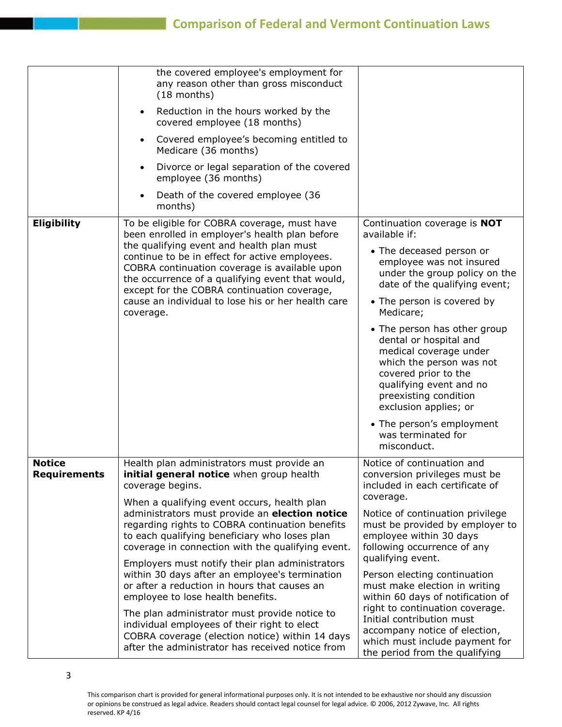|                               | the covered employee's employment for<br>any reason other than gross misconduct<br>$(18$ months)<br>Reduction in the hours worked by the<br>$\bullet$<br>covered employee (18 months)<br>Covered employee's becoming entitled to<br>$\bullet$<br>Medicare (36 months)<br>Divorce or legal separation of the covered<br>$\bullet$<br>employee (36 months)<br>Death of the covered employee (36<br>months)                                                                                                                                                                                                                                                                                                                                                               |                                                                                                                                                                                                                                                                                                                                                                                                                                                                                                                                              |
|-------------------------------|------------------------------------------------------------------------------------------------------------------------------------------------------------------------------------------------------------------------------------------------------------------------------------------------------------------------------------------------------------------------------------------------------------------------------------------------------------------------------------------------------------------------------------------------------------------------------------------------------------------------------------------------------------------------------------------------------------------------------------------------------------------------|----------------------------------------------------------------------------------------------------------------------------------------------------------------------------------------------------------------------------------------------------------------------------------------------------------------------------------------------------------------------------------------------------------------------------------------------------------------------------------------------------------------------------------------------|
| <b>Eligibility</b>            | To be eligible for COBRA coverage, must have<br>been enrolled in employer's health plan before<br>the qualifying event and health plan must<br>continue to be in effect for active employees.<br>COBRA continuation coverage is available upon<br>the occurrence of a qualifying event that would,<br>except for the COBRA continuation coverage,<br>cause an individual to lose his or her health care<br>coverage.                                                                                                                                                                                                                                                                                                                                                   | Continuation coverage is NOT<br>available if:<br>• The deceased person or<br>employee was not insured<br>under the group policy on the<br>date of the qualifying event;<br>• The person is covered by<br>Medicare;<br>• The person has other group<br>dental or hospital and<br>medical coverage under<br>which the person was not<br>covered prior to the<br>qualifying event and no<br>preexisting condition<br>exclusion applies; or<br>• The person's employment<br>was terminated for<br>misconduct.                                    |
| <b>Notice</b><br>Requirements | Health plan administrators must provide an<br>initial general notice when group health<br>coverage begins.<br>When a qualifying event occurs, health plan<br>administrators must provide an election notice<br>regarding rights to COBRA continuation benefits<br>to each qualifying beneficiary who loses plan<br>coverage in connection with the qualifying event.<br>Employers must notify their plan administrators<br>within 30 days after an employee's termination<br>or after a reduction in hours that causes an<br>employee to lose health benefits.<br>The plan administrator must provide notice to<br>individual employees of their right to elect<br>COBRA coverage (election notice) within 14 days<br>after the administrator has received notice from | Notice of continuation and<br>conversion privileges must be<br>included in each certificate of<br>coverage.<br>Notice of continuation privilege<br>must be provided by employer to<br>employee within 30 days<br>following occurrence of any<br>qualifying event.<br>Person electing continuation<br>must make election in writing<br>within 60 days of notification of<br>right to continuation coverage.<br>Initial contribution must<br>accompany notice of election,<br>which must include payment for<br>the period from the qualifying |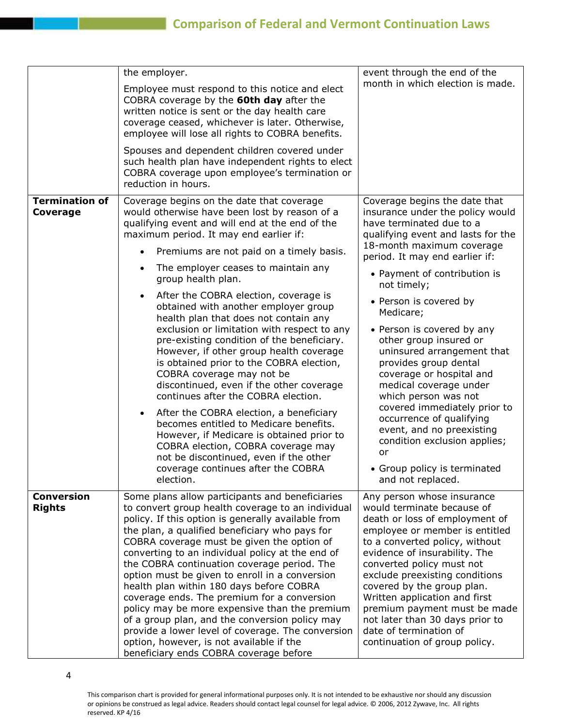|                                    | the employer.<br>Employee must respond to this notice and elect<br>COBRA coverage by the 60th day after the<br>written notice is sent or the day health care<br>coverage ceased, whichever is later. Otherwise,<br>employee will lose all rights to COBRA benefits.                                                                                                                                                                                                                                                                                                                                                                                                                                                                                                                                                                                                                                                                                                                                              | event through the end of the<br>month in which election is made.                                                                                                                                                                                                                                                                                                                                                                                                                                                                                                                                                                                                          |
|------------------------------------|------------------------------------------------------------------------------------------------------------------------------------------------------------------------------------------------------------------------------------------------------------------------------------------------------------------------------------------------------------------------------------------------------------------------------------------------------------------------------------------------------------------------------------------------------------------------------------------------------------------------------------------------------------------------------------------------------------------------------------------------------------------------------------------------------------------------------------------------------------------------------------------------------------------------------------------------------------------------------------------------------------------|---------------------------------------------------------------------------------------------------------------------------------------------------------------------------------------------------------------------------------------------------------------------------------------------------------------------------------------------------------------------------------------------------------------------------------------------------------------------------------------------------------------------------------------------------------------------------------------------------------------------------------------------------------------------------|
|                                    | Spouses and dependent children covered under<br>such health plan have independent rights to elect<br>COBRA coverage upon employee's termination or<br>reduction in hours.                                                                                                                                                                                                                                                                                                                                                                                                                                                                                                                                                                                                                                                                                                                                                                                                                                        |                                                                                                                                                                                                                                                                                                                                                                                                                                                                                                                                                                                                                                                                           |
| <b>Termination of</b><br>Coverage  | Coverage begins on the date that coverage<br>would otherwise have been lost by reason of a<br>qualifying event and will end at the end of the<br>maximum period. It may end earlier if:<br>Premiums are not paid on a timely basis.<br>The employer ceases to maintain any<br>$\bullet$<br>group health plan.<br>After the COBRA election, coverage is<br>obtained with another employer group<br>health plan that does not contain any<br>exclusion or limitation with respect to any<br>pre-existing condition of the beneficiary.<br>However, if other group health coverage<br>is obtained prior to the COBRA election,<br>COBRA coverage may not be<br>discontinued, even if the other coverage<br>continues after the COBRA election.<br>After the COBRA election, a beneficiary<br>becomes entitled to Medicare benefits.<br>However, if Medicare is obtained prior to<br>COBRA election, COBRA coverage may<br>not be discontinued, even if the other<br>coverage continues after the COBRA<br>election. | Coverage begins the date that<br>insurance under the policy would<br>have terminated due to a<br>qualifying event and lasts for the<br>18-month maximum coverage<br>period. It may end earlier if:<br>• Payment of contribution is<br>not timely;<br>• Person is covered by<br>Medicare;<br>• Person is covered by any<br>other group insured or<br>uninsured arrangement that<br>provides group dental<br>coverage or hospital and<br>medical coverage under<br>which person was not<br>covered immediately prior to<br>occurrence of qualifying<br>event, and no preexisting<br>condition exclusion applies;<br>or<br>• Group policy is terminated<br>and not replaced. |
| <b>Conversion</b><br><b>Rights</b> | Some plans allow participants and beneficiaries<br>to convert group health coverage to an individual<br>policy. If this option is generally available from<br>the plan, a qualified beneficiary who pays for<br>COBRA coverage must be given the option of<br>converting to an individual policy at the end of<br>the COBRA continuation coverage period. The<br>option must be given to enroll in a conversion<br>health plan within 180 days before COBRA<br>coverage ends. The premium for a conversion<br>policy may be more expensive than the premium<br>of a group plan, and the conversion policy may<br>provide a lower level of coverage. The conversion<br>option, however, is not available if the<br>beneficiary ends COBRA coverage before                                                                                                                                                                                                                                                         | Any person whose insurance<br>would terminate because of<br>death or loss of employment of<br>employee or member is entitled<br>to a converted policy, without<br>evidence of insurability. The<br>converted policy must not<br>exclude preexisting conditions<br>covered by the group plan.<br>Written application and first<br>premium payment must be made<br>not later than 30 days prior to<br>date of termination of<br>continuation of group policy.                                                                                                                                                                                                               |